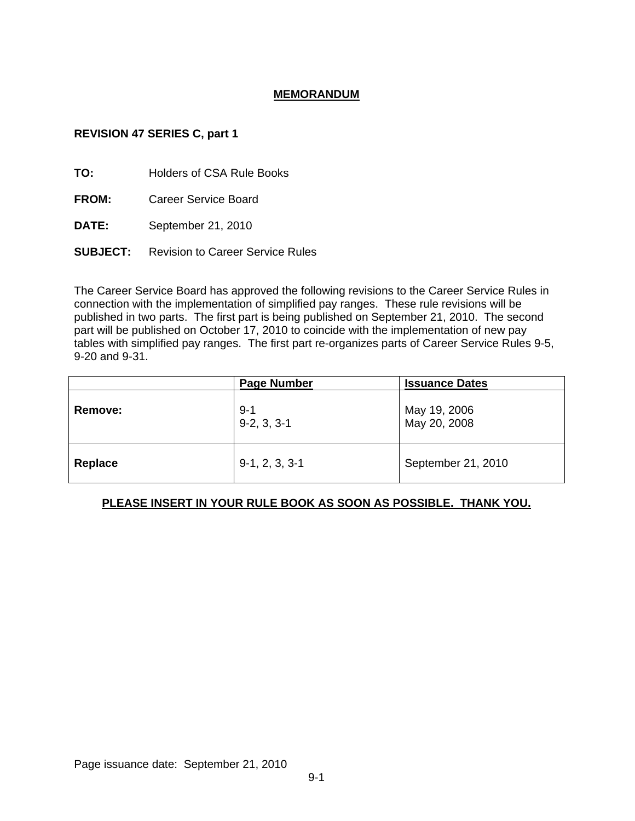# **MEMORANDUM**

# **REVISION 47 SERIES C, part 1**

**TO:** Holders of CSA Rule Books

**FROM:** Career Service Board

**DATE:** September 21, 2010

**SUBJECT:** Revision to Career Service Rules

The Career Service Board has approved the following revisions to the Career Service Rules in connection with the implementation of simplified pay ranges. These rule revisions will be published in two parts. The first part is being published on September 21, 2010. The second part will be published on October 17, 2010 to coincide with the implementation of new pay tables with simplified pay ranges. The first part re-organizes parts of Career Service Rules 9-5, 9-20 and 9-31.

|         | <b>Page Number</b>       | <b>Issuance Dates</b>        |
|---------|--------------------------|------------------------------|
| Remove: | $9 - 1$<br>$9-2, 3, 3-1$ | May 19, 2006<br>May 20, 2008 |
| Replace | $9-1, 2, 3, 3-1$         | September 21, 2010           |

# **PLEASE INSERT IN YOUR RULE BOOK AS SOON AS POSSIBLE. THANK YOU.**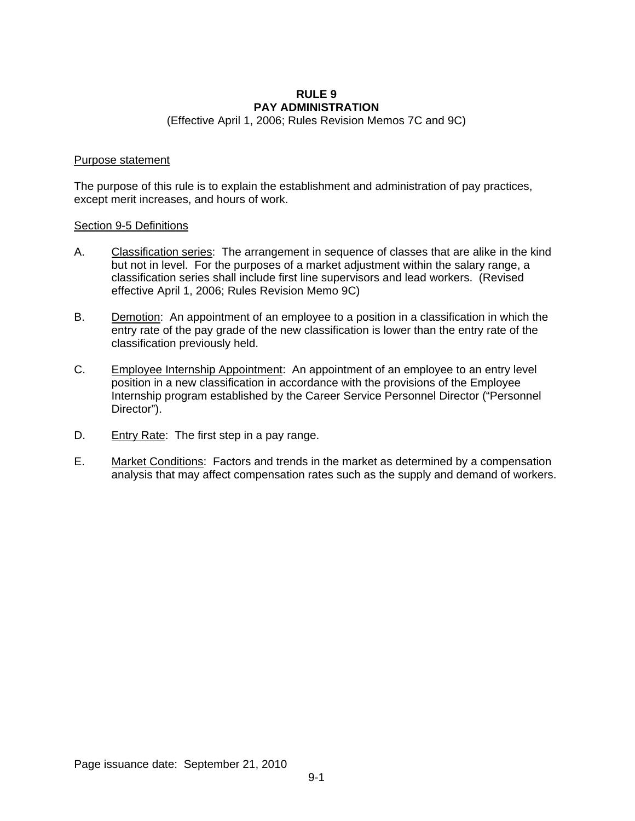### **RULE 9 PAY ADMINISTRATION**

(Effective April 1, 2006; Rules Revision Memos 7C and 9C)

### Purpose statement

The purpose of this rule is to explain the establishment and administration of pay practices, except merit increases, and hours of work.

#### Section 9-5 Definitions

- A. Classification series: The arrangement in sequence of classes that are alike in the kind but not in level. For the purposes of a market adjustment within the salary range, a classification series shall include first line supervisors and lead workers. (Revised effective April 1, 2006; Rules Revision Memo 9C)
- B. Demotion: An appointment of an employee to a position in a classification in which the entry rate of the pay grade of the new classification is lower than the entry rate of the classification previously held.
- C. Employee Internship Appointment: An appointment of an employee to an entry level position in a new classification in accordance with the provisions of the Employee Internship program established by the Career Service Personnel Director ("Personnel Director").
- D. Entry Rate: The first step in a pay range.
- E. Market Conditions: Factors and trends in the market as determined by a compensation analysis that may affect compensation rates such as the supply and demand of workers.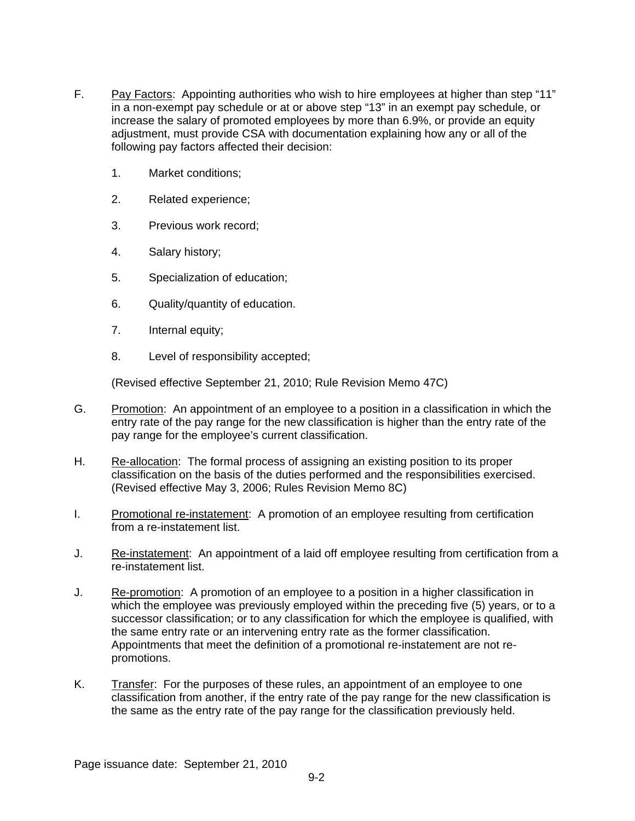- F. Pay Factors: Appointing authorities who wish to hire employees at higher than step "11" in a non-exempt pay schedule or at or above step "13" in an exempt pay schedule, or increase the salary of promoted employees by more than 6.9%, or provide an equity adjustment, must provide CSA with documentation explaining how any or all of the following pay factors affected their decision:
	- 1. Market conditions;
	- 2. Related experience;
	- 3. Previous work record;
	- 4. Salary history;
	- 5. Specialization of education;
	- 6. Quality/quantity of education.
	- 7. Internal equity;
	- 8. Level of responsibility accepted;

(Revised effective September 21, 2010; Rule Revision Memo 47C)

- G. Promotion: An appointment of an employee to a position in a classification in which the entry rate of the pay range for the new classification is higher than the entry rate of the pay range for the employee's current classification.
- H. Re-allocation: The formal process of assigning an existing position to its proper classification on the basis of the duties performed and the responsibilities exercised. (Revised effective May 3, 2006; Rules Revision Memo 8C)
- I. Promotional re-instatement: A promotion of an employee resulting from certification from a re-instatement list.
- J. Re-instatement: An appointment of a laid off employee resulting from certification from a re-instatement list.
- J. Re-promotion: A promotion of an employee to a position in a higher classification in which the employee was previously employed within the preceding five (5) years, or to a successor classification; or to any classification for which the employee is qualified, with the same entry rate or an intervening entry rate as the former classification. Appointments that meet the definition of a promotional re-instatement are not repromotions.
- K. Transfer: For the purposes of these rules, an appointment of an employee to one classification from another, if the entry rate of the pay range for the new classification is the same as the entry rate of the pay range for the classification previously held.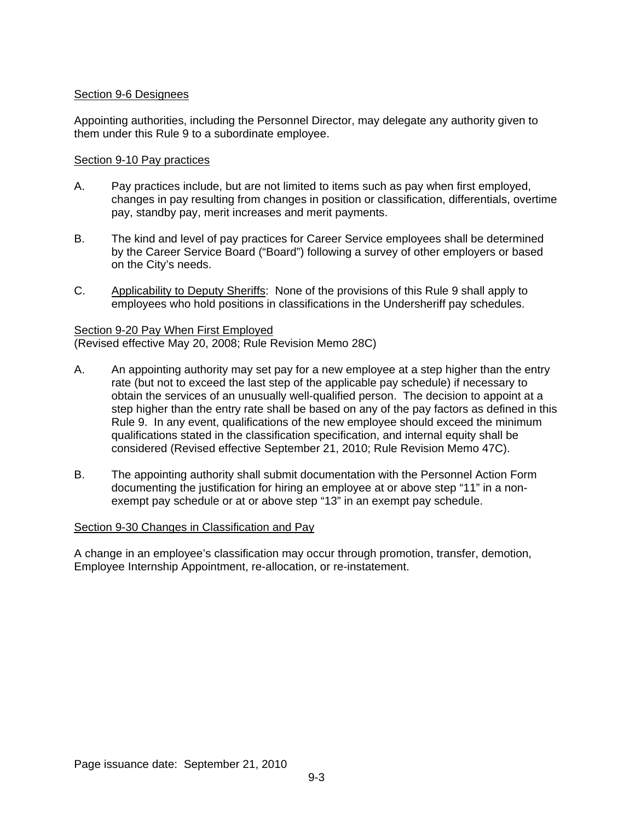# Section 9-6 Designees

Appointing authorities, including the Personnel Director, may delegate any authority given to them under this Rule 9 to a subordinate employee.

### Section 9-10 Pay practices

- A. Pay practices include, but are not limited to items such as pay when first employed, changes in pay resulting from changes in position or classification, differentials, overtime pay, standby pay, merit increases and merit payments.
- B. The kind and level of pay practices for Career Service employees shall be determined by the Career Service Board ("Board") following a survey of other employers or based on the City's needs.
- C. Applicability to Deputy Sheriffs:None of the provisions of this Rule 9 shall apply to employees who hold positions in classifications in the Undersheriff pay schedules.

### Section 9-20 Pay When First Employed (Revised effective May 20, 2008; Rule Revision Memo 28C)

- A. An appointing authority may set pay for a new employee at a step higher than the entry rate (but not to exceed the last step of the applicable pay schedule) if necessary to obtain the services of an unusually well-qualified person. The decision to appoint at a step higher than the entry rate shall be based on any of the pay factors as defined in this Rule 9. In any event, qualifications of the new employee should exceed the minimum qualifications stated in the classification specification, and internal equity shall be considered (Revised effective September 21, 2010; Rule Revision Memo 47C).
- B. The appointing authority shall submit documentation with the Personnel Action Form documenting the justification for hiring an employee at or above step "11" in a nonexempt pay schedule or at or above step "13" in an exempt pay schedule.

# Section 9-30 Changes in Classification and Pay

A change in an employee's classification may occur through promotion, transfer, demotion, Employee Internship Appointment, re-allocation, or re-instatement.